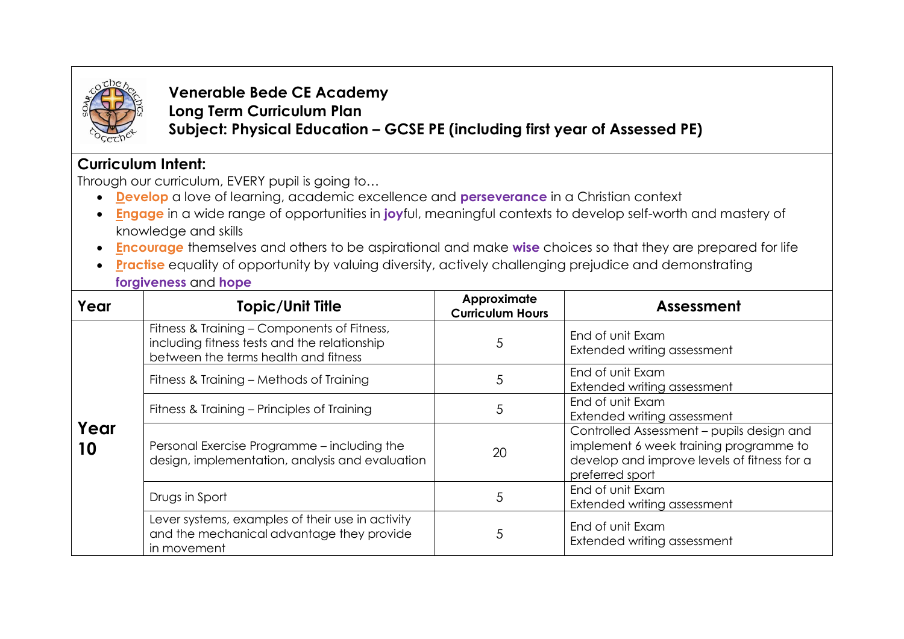

**Venerable Bede CE Academy Long Term Curriculum Plan Subject: Physical Education – GCSE PE (including first year of Assessed PE)**

## **Curriculum Intent:**

Through our curriculum, EVERY pupil is going to…

- **Develop** a love of learning, academic excellence and **perseverance** in a Christian context
- **Engage** in a wide range of opportunities in **joy**ful, meaningful contexts to develop self-worth and mastery of knowledge and skills
- **Encourag***e* themselves and others to be aspirational and make **wise** choices so that they are prepared for life
- **Practise** equality of opportunity by valuing diversity, actively challenging prejudice and demonstrating **forgiveness** and **hope**

| Year       | <b>Topic/Unit Title</b>                                                                                                             | Approximate<br><b>Curriculum Hours</b> | Assessment                                                                                                                                            |
|------------|-------------------------------------------------------------------------------------------------------------------------------------|----------------------------------------|-------------------------------------------------------------------------------------------------------------------------------------------------------|
| Year<br>10 | Fitness & Training - Components of Fitness,<br>including fitness tests and the relationship<br>between the terms health and fitness | 5                                      | End of unit Exam<br>Extended writing assessment                                                                                                       |
|            | Fitness & Training - Methods of Training                                                                                            | 5                                      | End of unit Exam<br>Extended writing assessment                                                                                                       |
|            | Fitness & Training – Principles of Training                                                                                         | 5                                      | End of unit Exam<br>Extended writing assessment                                                                                                       |
|            | Personal Exercise Programme - including the<br>design, implementation, analysis and evaluation                                      | 20                                     | Controlled Assessment - pupils design and<br>implement 6 week training programme to<br>develop and improve levels of fitness for a<br>preferred sport |
|            | Drugs in Sport                                                                                                                      | 5                                      | End of unit Exam<br>Extended writing assessment                                                                                                       |
|            | Lever systems, examples of their use in activity<br>and the mechanical advantage they provide<br>in movement                        | 5                                      | End of unit Exam<br>Extended writing assessment                                                                                                       |